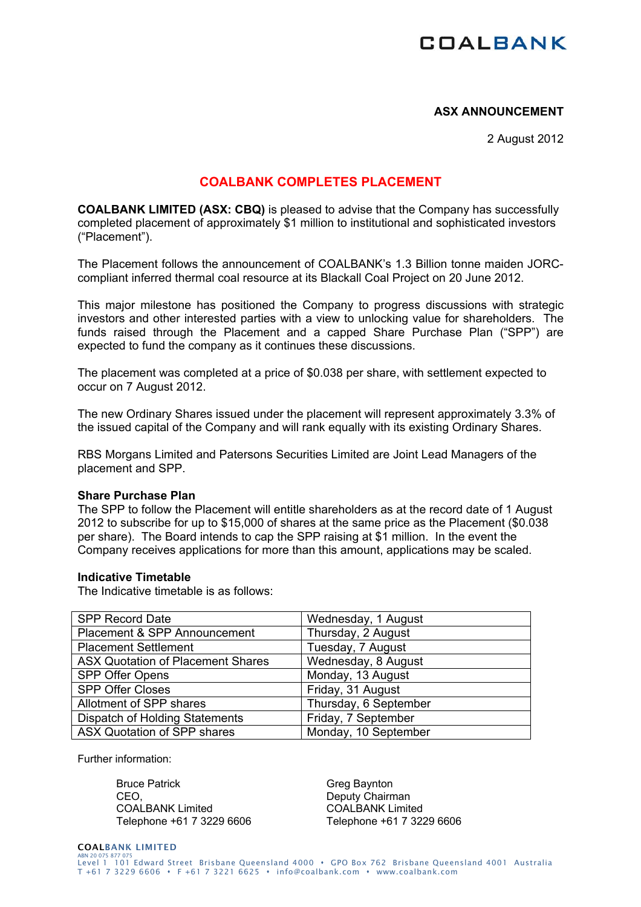# **COALBANK**

## **ASX ANNOUNCEMENT**

2 August 2012

# **COALBANK COMPLETES PLACEMENT**

**COALBANK LIMITED (ASX: CBQ)** is pleased to advise that the Company has successfully completed placement of approximately \$1 million to institutional and sophisticated investors ("Placement").

The Placement follows the announcement of COALBANK's 1.3 Billion tonne maiden JORCcompliant inferred thermal coal resource at its Blackall Coal Project on 20 June 2012.

This major milestone has positioned the Company to progress discussions with strategic investors and other interested parties with a view to unlocking value for shareholders. The funds raised through the Placement and a capped Share Purchase Plan ("SPP") are expected to fund the company as it continues these discussions.

The placement was completed at a price of \$0.038 per share, with settlement expected to occur on 7 August 2012.

The new Ordinary Shares issued under the placement will represent approximately 3.3% of the issued capital of the Company and will rank equally with its existing Ordinary Shares.

RBS Morgans Limited and Patersons Securities Limited are Joint Lead Managers of the placement and SPP.

#### **Share Purchase Plan**

The SPP to follow the Placement will entitle shareholders as at the record date of 1 August 2012 to subscribe for up to \$15,000 of shares at the same price as the Placement (\$0.038 per share). The Board intends to cap the SPP raising at \$1 million. In the event the Company receives applications for more than this amount, applications may be scaled.

#### **Indicative Timetable**

The Indicative timetable is as follows:

| <b>SPP Record Date</b>                   | Wednesday, 1 August   |
|------------------------------------------|-----------------------|
| Placement & SPP Announcement             | Thursday, 2 August    |
| <b>Placement Settlement</b>              | Tuesday, 7 August     |
| <b>ASX Quotation of Placement Shares</b> | Wednesday, 8 August   |
| SPP Offer Opens                          | Monday, 13 August     |
| <b>SPP Offer Closes</b>                  | Friday, 31 August     |
| Allotment of SPP shares                  | Thursday, 6 September |
| Dispatch of Holding Statements           | Friday, 7 September   |
| ASX Quotation of SPP shares              | Monday, 10 September  |

Further information:

Bruce Patrick CEO, COALBANK Limited Telephone +61 7 3229 6606 Greg Baynton Deputy Chairman COALBANK Limited Telephone +61 7 3229 6606

#### COALBANK LIMITED